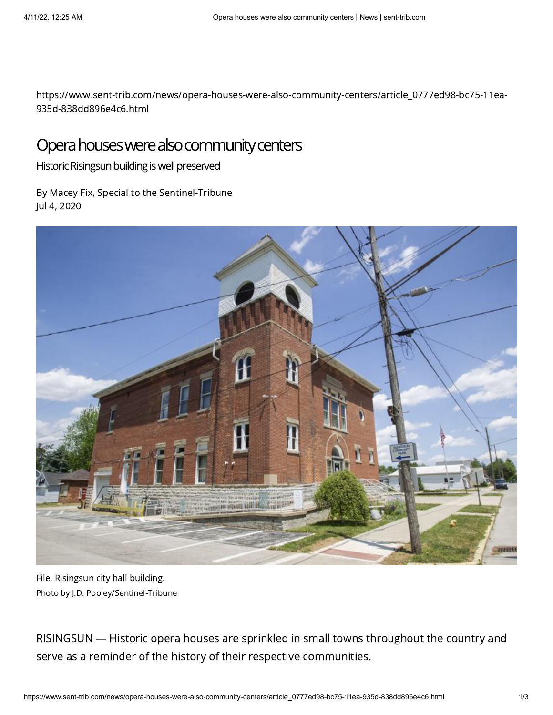https://www.sent-trib.com/news/opera-houses-were-also-community-centers/article\_0777ed98-bc75-11ea-935d-838dd896e4c6.html

## Opera houses were also community centers

Historic Risingsun building is well preserved

By Macey Fix, Special to the Sentinel-Tribune Jul 4, 2020



File. Risingsun city hall building. Photo by J.D. Pooley/Sentinel-Tribune

RISINGSUN — Historic opera houses are sprinkled in small towns throughout the country and serve as a reminder of the history of their respective communities.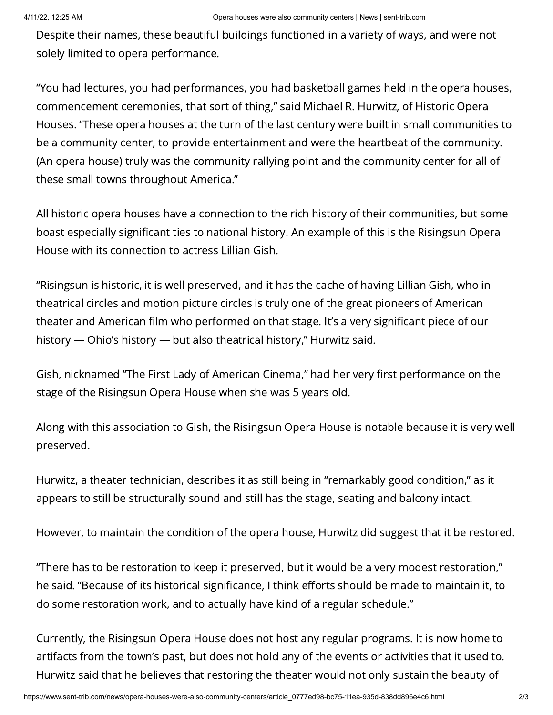Despite their names, these beautiful buildings functioned in a variety of ways, and were not solely limited to opera performance.

"You had lectures, you had performances, you had basketball games held in the opera houses, commencement ceremonies, that sort of thing," said Michael R. Hurwitz, of Historic Opera Houses. "These opera houses at the turn of the last century were built in small communities to be a community center, to provide entertainment and were the heartbeat of the community. (An opera house) truly was the community rallying point and the community center for all of these small towns throughout America."

All historic opera houses have a connection to the rich history of their communities, but some boast especially significant ties to national history. An example of this is the Risingsun Opera House with its connection to actress Lillian Gish.

"Risingsun is historic, it is well preserved, and it has the cache of having Lillian Gish, who in theatrical circles and motion picture circles is truly one of the great pioneers of American theater and American film who performed on that stage. It's a very significant piece of our history — Ohio's history — but also theatrical history," Hurwitz said.

Gish, nicknamed "The First Lady of American Cinema," had her very first performance on the stage of the Risingsun Opera House when she was 5 years old.

Along with this association to Gish, the Risingsun Opera House is notable because it is very well preserved.

Hurwitz, a theater technician, describes it as still being in "remarkably good condition," as it appears to still be structurally sound and still has the stage, seating and balcony intact.

However, to maintain the condition of the opera house, Hurwitz did suggest that it be restored.

"There has to be restoration to keep it preserved, but it would be a very modest restoration," he said. "Because of its historical significance, I think efforts should be made to maintain it, to do some restoration work, and to actually have kind of a regular schedule."

Currently, the Risingsun Opera House does not host any regular programs. It is now home to artifacts from the town's past, but does not hold any of the events or activities that it used to. Hurwitz said that he believes that restoring the theater would not only sustain the beauty of